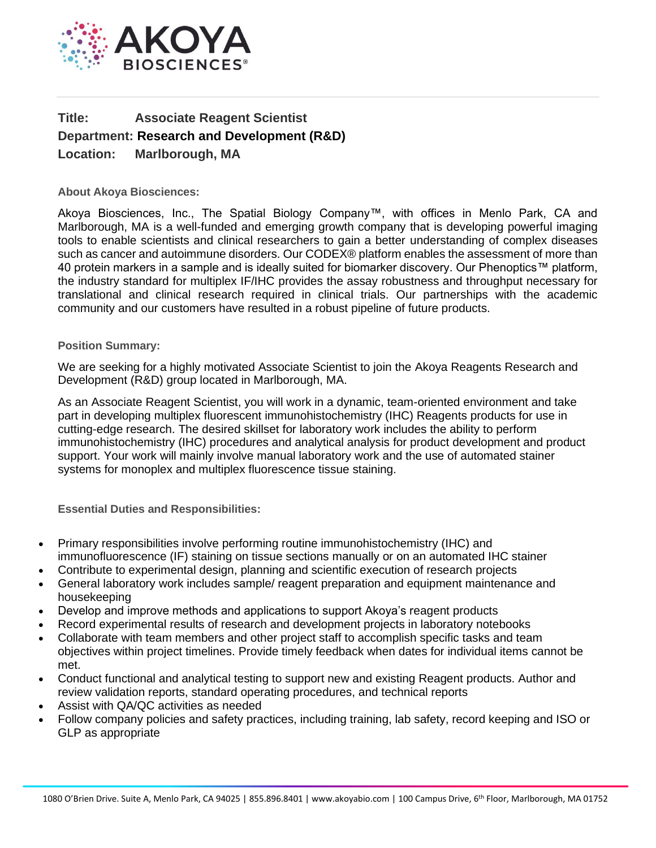

## **Title: Associate Reagent Scientist Department: Research and Development (R&D) Location: Marlborough, MA**

**About Akoya Biosciences:**

Akoya Biosciences, Inc., The Spatial Biology Company™, with offices in Menlo Park, CA and Marlborough, MA is a well-funded and emerging growth company that is developing powerful imaging tools to enable scientists and clinical researchers to gain a better understanding of complex diseases such as cancer and autoimmune disorders. Our CODEX® platform enables the assessment of more than 40 protein markers in a sample and is ideally suited for biomarker discovery. Our Phenoptics™ platform, the industry standard for multiplex IF/IHC provides the assay robustness and throughput necessary for translational and clinical research required in clinical trials. Our partnerships with the academic community and our customers have resulted in a robust pipeline of future products.

## **Position Summary:**

We are seeking for a highly motivated Associate Scientist to join the Akoya Reagents Research and Development (R&D) group located in Marlborough, MA.

As an Associate Reagent Scientist, you will work in a dynamic, team-oriented environment and take part in developing multiplex fluorescent immunohistochemistry (IHC) Reagents products for use in cutting-edge research. The desired skillset for laboratory work includes the ability to perform immunohistochemistry (IHC) procedures and analytical analysis for product development and product support. Your work will mainly involve manual laboratory work and the use of automated stainer systems for monoplex and multiplex fluorescence tissue staining.

**Essential Duties and Responsibilities:**

- Primary responsibilities involve performing routine immunohistochemistry (IHC) and immunofluorescence (IF) staining on tissue sections manually or on an automated IHC stainer
- Contribute to experimental design, planning and scientific execution of research projects
- General laboratory work includes sample/ reagent preparation and equipment maintenance and housekeeping
- Develop and improve methods and applications to support Akoya's reagent products
- Record experimental results of research and development projects in laboratory notebooks
- Collaborate with team members and other project staff to accomplish specific tasks and team objectives within project timelines. Provide timely feedback when dates for individual items cannot be met.
- Conduct functional and analytical testing to support new and existing Reagent products. Author and review validation reports, standard operating procedures, and technical reports
- Assist with QA/QC activities as needed
- Follow company policies and safety practices, including training, lab safety, record keeping and ISO or GLP as appropriate